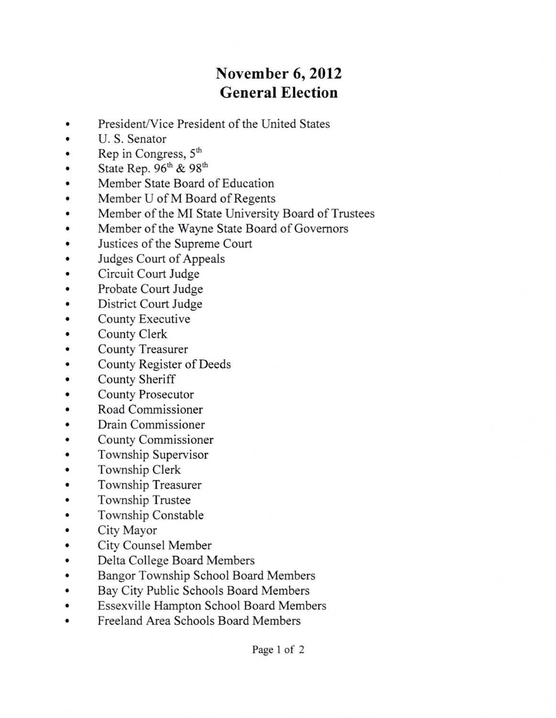## November 6,2012 General Election

- President/Vice President of the United States  $\bullet$
- U. S. Senator  $\bullet$
- Rep in Congress, 5<sup>th</sup>  $\bullet$
- State Rep.  $96<sup>th</sup>$  &  $98<sup>th</sup>$  $\bullet$
- Member State Board of Education
- Member U of M Board of Regents  $\bullet$
- Member of the MI State University Board of Trustees
- Member of the Wayne State Board of Govemors  $\bullet$
- Justices of the Supreme Court  $\bullet$
- Judges Court of Appeals
- Circuit Court Judge  $\bullet$
- Probate Court Judge  $\bullet$
- District Court Judge  $\bullet$
- County Executive
- County Clerk  $\bullet$
- County Treasurer  $\bullet$
- County Register of Deeds  $\bullet$
- County Sheriff  $\bullet$
- County Prosecutor
- Road Commissioner  $\bullet$
- Drain Commissioner  $\bullet$
- County Commissioner  $\bullet$
- Township Supervisor .
- Township Clerk
- Township Treasurer  $\bullet$
- Township Trustee  $\bullet$
- Township Constable  $\bullet$
- City Mayor  $\bullet$
- City Counsel Member  $\bullet$
- Delta College Board Members  $\bullet$
- Bangor Township School Board Members  $\ddot{\bullet}$
- Bay City Public Schools Board Members  $\bullet$
- Essexville Hampton School Board Members  $\bullet$
- Freeland Area Schools Board Members  $\bullet$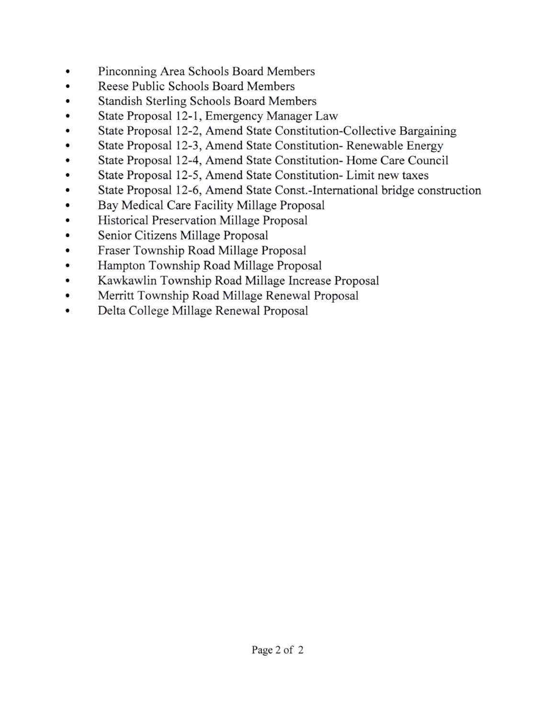- a Pinconning Area Schools Board Members
- a Reese Public Schools Board Members
- a Standish Sterling Schools Board Members
- State Proposal 12-1, Emergency Manager Law  $\bullet$
- State Proposal 12-2, Amend State Constitution-Collective Bargaining  $\bullet$
- State Proposal l2-3, Amend State Constitution- Renewable Energy  $\bullet$
- a State Proposal l2-4, Amend State Constitution- Home Care Council
- State Proposal l2-5, Amend State Constitution- Limit new taxes  $\bullet$
- a State Proposal l2-6, Amend State Const.-International bridge construction
- a Bay Medical Care Facility Millage Proposal
- a Historical Preservation Millage Proposal
- a Senior Citizens Millage Proposal
- a Fraser Township Road Millage Proposal
- a Hampton Township Road Millage Proposal
- a Kawkawlin Township Road Millage lncrease Proposal
- a Merritt Township Road Millage Renewal Proposal
- a Delta College Millage Renewal Proposal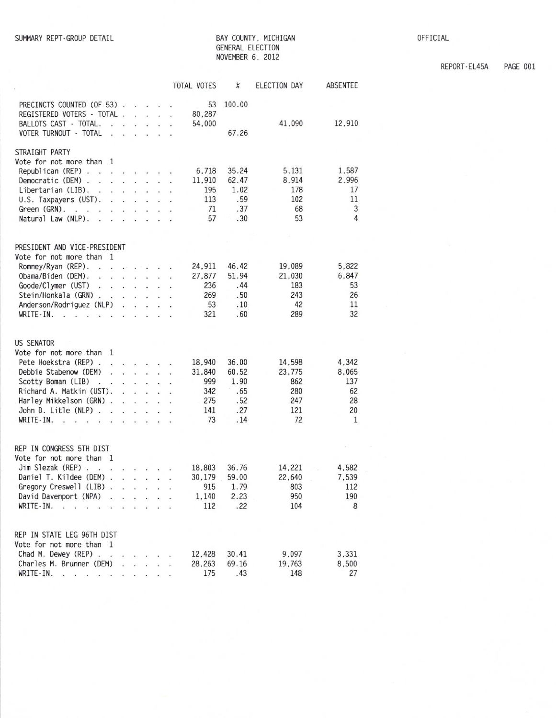## BAY COUNTY, MICHIGAN GENERAL ELECTION NOVEMBER 6, 2012

OFFICIAL

REPORT-EL45A PAGE 001

|                                                                                                                                                                                                                                                                                                                                                                                                                                                 |                                                                                                                      | <b>TOTAL VOTES</b>                                                              | $\boldsymbol{\mathcal{E}}$                         | ELECTION DAY                                       | ABSENTEE                                     |
|-------------------------------------------------------------------------------------------------------------------------------------------------------------------------------------------------------------------------------------------------------------------------------------------------------------------------------------------------------------------------------------------------------------------------------------------------|----------------------------------------------------------------------------------------------------------------------|---------------------------------------------------------------------------------|----------------------------------------------------|----------------------------------------------------|----------------------------------------------|
| PRECINCTS COUNTED (OF 53).<br>REGISTERED VOTERS - TOTAL .<br>BALLOTS CAST - TOTAL.<br>Ý.<br>$\sim$<br>VOTER TURNOUT - TOTAL<br>$\mathbf{r} = \mathbf{r}$<br>$\ddot{\phantom{a}}$                                                                                                                                                                                                                                                                | <b>Contract Service</b><br>$\cdot$ $\cdot$ $\cdot$ $\cdot$<br>$\mathbf{u} = \mathbf{u} + \mathbf{u}$<br>$\mathbf{r}$ | 53<br>80,287<br>54,000                                                          | 100.00<br>67.26                                    | 41,090                                             | 12,910                                       |
|                                                                                                                                                                                                                                                                                                                                                                                                                                                 |                                                                                                                      |                                                                                 |                                                    |                                                    |                                              |
| STRAIGHT PARTY<br>Vote for not more than<br>-1<br>Republican (REP) $\ldots$ $\ldots$ $\ldots$<br>Democratic (DEM)<br>Libertarian (LIB).<br>U.S. Taxpayers (UST).<br>$\mathbf{r}$ . The second contract $\mathbf{r}$<br>Green $(GRN)$ .<br>Natural Law (NLP).<br>$\mathbf{r}$ , $\mathbf{r}$ , $\mathbf{r}$ , $\mathbf{r}$ , $\mathbf{r}$                                                                                                        |                                                                                                                      | 6,718<br>11,910<br>195<br>113<br>71<br>57                                       | 35.24<br>62.47<br>1.02<br>.59<br>.37<br>.30        | 5,131<br>8.914<br>178<br>102<br>68<br>53           | 1,587<br>2,996<br>17<br>11<br>3<br>4         |
| PRESIDENT AND VICE-PRESIDENT                                                                                                                                                                                                                                                                                                                                                                                                                    |                                                                                                                      |                                                                                 |                                                    |                                                    |                                              |
| Vote for not more than 1<br>Romney/Ryan (REP).<br>Obama/Biden (DEM).<br>Goode/Clymer (UST)<br>Stein/Honkala (GRN).<br>and the contract of the contract of the<br>Anderson/Rodriguez (NLP)<br>WRITE-IN.<br>$\mathbf{v}$ and $\mathbf{v}$<br><b>Contract Service</b>                                                                                                                                                                              | $\sim$ $\sim$ $\sim$ $\sim$                                                                                          | 24,911<br>27,877<br>236<br>269<br>53<br>321                                     | 46.42<br>51.94<br>.44<br>.50<br>.10<br>.60         | 19,089<br>21,030<br>183<br>243<br>42<br>289        | 5,822<br>6,847<br>53<br>26<br>11<br>32       |
| <b>US SENATOR</b>                                                                                                                                                                                                                                                                                                                                                                                                                               |                                                                                                                      |                                                                                 |                                                    |                                                    |                                              |
| Vote for not more than 1<br>Pete Hoekstra (REP)<br>Debbie Stabenow (DEM)<br><b><i>Common Common Common Common Common Common Common Common Common Common Common Common Common Common Common Common Common Common Common Common Common Common Common Common Common Common Common Common Common Common Common Com</i></b><br>Scotty Boman (LIB)<br>Richard A. Matkin (UST).<br>Harley Mikkelson (GRN).<br>John D. Litle (NLP)<br>WRITE-IN.<br>- 23 | the contract of the contract of<br>the contract of the<br>and the control of the                                     | 18.940<br>÷<br>31.840<br>999<br>$\ddot{\phantom{a}}$<br>342<br>275<br>141<br>73 | 36.00<br>60.52<br>1.90<br>.65<br>.52<br>.27<br>.14 | 14,598<br>23,775<br>862<br>280<br>247<br>121<br>72 | 4,342<br>8,065<br>137<br>62<br>28<br>20<br>1 |
| REP IN CONGRESS 5TH DIST                                                                                                                                                                                                                                                                                                                                                                                                                        |                                                                                                                      |                                                                                 |                                                    |                                                    |                                              |
| Vote for not more than 1<br>Jim Slezak (REP).<br>$\cdot$ $\cdot$<br>$\cdots$<br>Daniel T. Kildee (DEM)<br>Gregory Creswell (LIB).<br>David Davenport (NPA)<br>WRITE-IN.<br>- D<br>$\sim$                                                                                                                                                                                                                                                        | $\ddot{\phantom{1}}$                                                                                                 | 18,803<br>30,179<br>915<br>1,140<br>112                                         | 36.76<br>59.00<br>1.79<br>2.23<br>.22              | 14.221<br>22.640<br>803<br>950<br>104              | 4,582<br>7.539<br>112<br>190<br>8            |
| REP IN STATE LEG 96TH DIST<br>Vote for not more than 1<br>Chad M. Dewey (REP) .<br>Charles M. Brunner (DEM)<br>WRITE-IN.                                                                                                                                                                                                                                                                                                                        | and the company                                                                                                      | 12,428<br>28,263<br>175                                                         | 30.41<br>69.16<br>.43                              | 9.097<br>19,763<br>148                             | 3,331<br>8,500<br>27                         |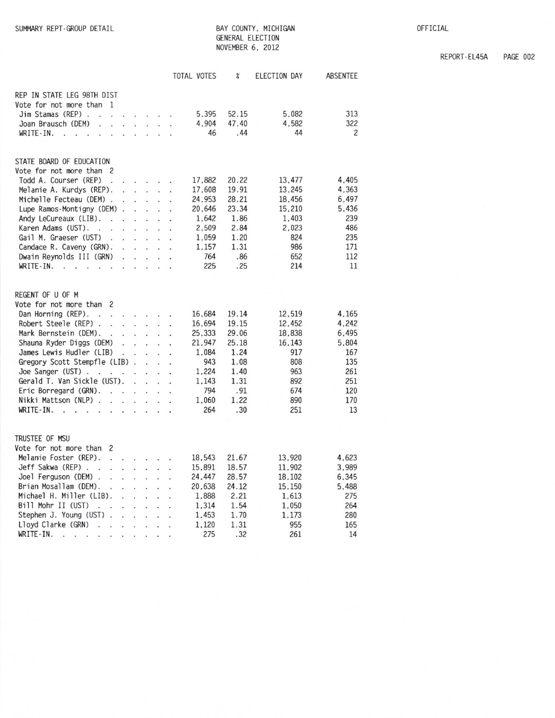## BAY COUNTY, MICHIGAN GENERAL ELECTION NOVEMBER 6, 2012

|                                                                                                                                                                                                                                                                   |                      |                         |                                                                                                                                                                                                                                   |                      | TOTAL VOTES | X     | ELECTION DAY | ABSENTEE       |
|-------------------------------------------------------------------------------------------------------------------------------------------------------------------------------------------------------------------------------------------------------------------|----------------------|-------------------------|-----------------------------------------------------------------------------------------------------------------------------------------------------------------------------------------------------------------------------------|----------------------|-------------|-------|--------------|----------------|
| REP IN STATE LEG 98TH DIST                                                                                                                                                                                                                                        |                      |                         |                                                                                                                                                                                                                                   |                      |             |       |              |                |
| Vote for not more than 1                                                                                                                                                                                                                                          |                      |                         |                                                                                                                                                                                                                                   |                      |             |       |              |                |
| Jim Stamas (REP)<br>$\mathbf{L}$ and $\mathbf{L}$ and $\mathbf{L}$                                                                                                                                                                                                |                      |                         |                                                                                                                                                                                                                                   | $\ddot{\phantom{a}}$ | 5.395       | 52.15 | 5.082        | 313            |
| Joan Brausch (DEM)<br>¥.<br>$\ddot{\phantom{a}}$                                                                                                                                                                                                                  |                      | an an ann               | ú.                                                                                                                                                                                                                                | à.                   | 4,904       | 47.40 | 4,582        | 322            |
| WRITE-IN.<br>$\ddot{\phantom{a}}$<br>$\ddot{\phantom{0}}$<br>$\mathbf{r}$<br>$\ddot{\phantom{a}}$                                                                                                                                                                 |                      |                         | .                                                                                                                                                                                                                                 |                      | 46          | .44   | 44           | $\overline{c}$ |
| STATE BOARD OF EDUCATION                                                                                                                                                                                                                                          |                      |                         |                                                                                                                                                                                                                                   |                      |             |       |              |                |
| Vote for not more than 2                                                                                                                                                                                                                                          |                      |                         |                                                                                                                                                                                                                                   |                      |             |       |              |                |
| Todd A. Courser (REP)<br>the contract of the con-<br>$\ddot{\phantom{a}}$                                                                                                                                                                                         |                      |                         |                                                                                                                                                                                                                                   |                      | 17,882      | 20.22 | 13,477       | 4.405          |
| Melanie A. Kurdys (REP).                                                                                                                                                                                                                                          |                      |                         | .                                                                                                                                                                                                                                 | $\ddot{\phantom{a}}$ | 17.608      | 19.91 | 13.245       | 4,363          |
| Michelle Fecteau (DEM).<br>ÿ.                                                                                                                                                                                                                                     |                      | $\sim$ $\sim$           |                                                                                                                                                                                                                                   | $\ddot{\phantom{a}}$ | 24,953      | 28.21 | 18,456       | 6,497          |
| Lupe Ramos-Montigny (DEM).                                                                                                                                                                                                                                        |                      | $\sim$ $\sim$ $\sim$    |                                                                                                                                                                                                                                   | l.                   | 20,646      | 23.34 | 15,210       | 5,436          |
| Andy LeCureaux (LIB).<br>$\mathbb{R}^2$<br>÷,                                                                                                                                                                                                                     |                      | $\cdot$ $\cdot$ $\cdot$ |                                                                                                                                                                                                                                   | $\sim$               | 1.642       | 1.86  | 1.403        | 239            |
| Karen Adams (UST).<br>$\sim$<br>$\sim$<br>J.                                                                                                                                                                                                                      | $\ddot{\phantom{a}}$ | $\sim$                  | t.                                                                                                                                                                                                                                | $\ddot{\phantom{a}}$ | 2,509       | 2.84  | 2,023        | 486            |
| Gail M. Graeser (UST)<br>$\ddot{\phantom{a}}$                                                                                                                                                                                                                     |                      |                         | $\cdot$ $\cdot$ $\cdot$ $\cdot$                                                                                                                                                                                                   |                      | 1.059       | 1.20  | 824          | 235            |
| Candace R. Caveny (GRN).<br>÷                                                                                                                                                                                                                                     |                      | $\sim$ $\sim$ $\sim$    |                                                                                                                                                                                                                                   |                      | 1.157       | 1.31  | 986          | 171            |
| Dwain Reynolds III (GRN)                                                                                                                                                                                                                                          |                      |                         |                                                                                                                                                                                                                                   | o.                   | 764         | .86   | 652          | 112            |
| WRITE-IN.<br>$\cdot$ $\cdot$ $\cdot$ $\cdot$<br>$\cdot$ $\cdot$ $\cdot$<br>$\sim$ $\sim$                                                                                                                                                                          |                      |                         |                                                                                                                                                                                                                                   |                      | 225         | .25   | 214          | 11             |
| REGENT OF U OF M                                                                                                                                                                                                                                                  |                      |                         |                                                                                                                                                                                                                                   |                      |             |       |              |                |
| Vote for not more than 2                                                                                                                                                                                                                                          |                      |                         |                                                                                                                                                                                                                                   |                      |             |       |              |                |
| Dan Horning (REP).<br>$\mathbf{r}$ . The set of the set of the set of the set of the set of the set of the set of the set of the set of the set of the set of the set of the set of the set of the set of the set of the set of the set of the set of t<br>$\sim$ |                      |                         |                                                                                                                                                                                                                                   | $\sim$               | 16,684      | 19.14 | 12,519       | 4.165          |
| Robert Steele (REP).<br>$\mathbf{r}$ . The set of the set of the set of the set of the set of the set of the set of the set of the set of the set of the set of the set of the set of the set of the set of the set of the set of the set of the set of t         |                      |                         |                                                                                                                                                                                                                                   |                      | 16,694      | 19.15 | 12,452       | 4.242          |
| Mark Bernstein (DEM).<br>$\mathbf{v} = \mathbf{v} - \mathbf{v} = \mathbf{v}$ .                                                                                                                                                                                    |                      |                         | $\mathbb{R}^{n-1}$                                                                                                                                                                                                                |                      | 25.333      | 29.06 | 18,838       | 6.495          |
| Shauna Ryder Diggs (DEM)<br>$\alpha$ , $\alpha$ , $\alpha$ , $\alpha$                                                                                                                                                                                             |                      |                         |                                                                                                                                                                                                                                   |                      | 21,947      | 25.18 | 16,143       | 5,804          |
| James Lewis Hudler (LIB)<br>$\ddot{\phantom{a}}$                                                                                                                                                                                                                  | $\ddot{\phantom{a}}$ |                         | $\ddotsc$                                                                                                                                                                                                                         | İ.                   | 1.084       | 1.24  | 917          | 167            |
| Gregory Scott Stempfle (LIB).                                                                                                                                                                                                                                     |                      | s.                      |                                                                                                                                                                                                                                   |                      | 943         | 1.08  | 808          | 135            |
| Joe Sanger (UST) $\ldots$ $\ldots$                                                                                                                                                                                                                                |                      | and the                 | $\mathbf{r}$                                                                                                                                                                                                                      | $\ddot{\phantom{a}}$ | 1.224       | 1.40  | 963          | 261            |
| Gerald T. Van Sickle (UST).                                                                                                                                                                                                                                       | $\overline{a}$       | $\sim$                  | $\overline{a}$                                                                                                                                                                                                                    |                      | 1.143       | 1.31  | 892          | 251            |
| Eric Borregard (GRN).<br>$\mathbf{v} = \mathbf{v} - \mathbf{v}$                                                                                                                                                                                                   |                      | an i                    | à.                                                                                                                                                                                                                                |                      | 794         | .91   | 674          | 120            |
| Nikki Mattson (NLP).<br>the contract of the contract of                                                                                                                                                                                                           |                      |                         | v.                                                                                                                                                                                                                                |                      | 1.060       | 1.22  | 890          | 170            |
| WRITE-IN.<br>$\sim$ $\sim$<br>$\sim$ $\sim$ $\sim$ $\sim$<br>$\mathbb{R}$<br>$\mathbb{R}^2$<br>$\sim$                                                                                                                                                             |                      |                         |                                                                                                                                                                                                                                   |                      | 264         | .30   | 251          | 13             |
| TRUSTEE OF MSU                                                                                                                                                                                                                                                    |                      |                         |                                                                                                                                                                                                                                   |                      |             |       |              |                |
| Vote for not more than 2                                                                                                                                                                                                                                          |                      |                         |                                                                                                                                                                                                                                   |                      |             |       |              |                |
| Melanie Foster (REP).<br>$\cdot$ $\cdot$ $\cdot$ $\cdot$ $\cdot$ $\cdot$                                                                                                                                                                                          |                      |                         |                                                                                                                                                                                                                                   |                      | 18,543      | 21.67 | 13,920       | 4,623          |
| Jeff Sakwa (REP).<br>$\sim$ $\sim$ $\sim$ $\sim$<br>÷.                                                                                                                                                                                                            |                      |                         |                                                                                                                                                                                                                                   | ÷                    | 15,891      | 18.57 | 11,902       | 3,989          |
| Joel Ferguson (DEM).<br>the contract of the con-<br>$\omega$                                                                                                                                                                                                      |                      |                         |                                                                                                                                                                                                                                   | $\mathbf{r}$         | 24,447      | 28.57 | 18,102       | 6.345          |
| Brian Mosallam (DEM).<br>and the state of the state of the<br>$\mathbf{r}$                                                                                                                                                                                        |                      |                         |                                                                                                                                                                                                                                   |                      | 20.638      | 24.12 | 15,150       | 5,488          |
| Michael H. Miller (LIB).                                                                                                                                                                                                                                          |                      |                         | $\mathbf{r}$ . The set of the set of the set of the set of the set of the set of the set of the set of the set of the set of the set of the set of the set of the set of the set of the set of the set of the set of the set of t | ÷                    | 1.888       | 2.21  | 1,613        | 275            |
| Bill Mohr II (UST)<br>the company of the company                                                                                                                                                                                                                  |                      |                         |                                                                                                                                                                                                                                   | s.                   | 1,314       | 1.54  | 1,050        | 264            |
| Stephen J. Young (UST).<br>s.                                                                                                                                                                                                                                     |                      |                         | $\mathbf{r}$ and $\mathbf{r}$ and $\mathbf{r}$                                                                                                                                                                                    | $\ddot{\phantom{0}}$ | 1,453       | 1.70  | 1.173        | 280            |
| Lloyd Clarke (GRN)<br>$\ddot{\phantom{0}}$<br>÷.                                                                                                                                                                                                                  | Ý.                   | $\ddot{\phantom{a}}$    | Ý.                                                                                                                                                                                                                                |                      | 1,120       | 1.31  | 955          | 165            |
|                                                                                                                                                                                                                                                                   |                      |                         |                                                                                                                                                                                                                                   |                      | 275         | 32    | 261          | 14             |